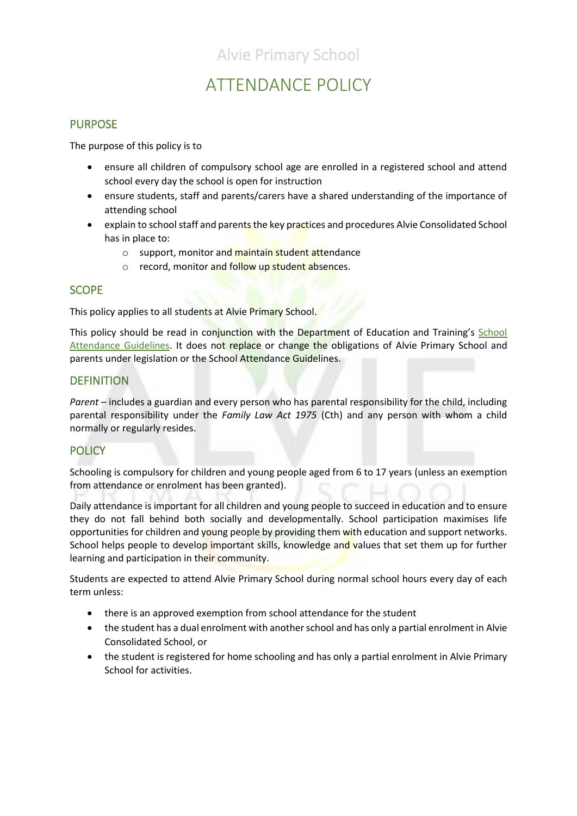# ATTENDANCE POLICY

### PURPOSE

The purpose of this policy is to

- ensure all children of compulsory school age are enrolled in a registered school and attend school every day the school is open for instruction
- ensure students, staff and parents/carers have a shared understanding of the importance of attending school
- explain to school staff and parents the key practices and procedures Alvie Consolidated School has in place to:
	- o support, monitor and maintain student attendance
	- $\circ$  record, monitor and follow up student absences.

### **SCOPE**

This policy applies to all students at Alvie Primary School.

This policy should be read in conjunction with the Department of Education and Training's School [Attendance Guidelines.](https://www.education.vic.gov.au/school/teachers/studentmanagement/attendance/Pages/default.aspx) It does not replace or change the obligations of Alvie Primary School and parents under legislation or the School Attendance Guidelines.

### **DEFINITION**

*Parent* – includes a guardian and every person who has parental responsibility for the child, including parental responsibility under the *Family Law Act 1975* (Cth) and any person with whom a child normally or regularly resides.

### **POLICY**

Schooling is compulsory for children and young people aged from 6 to 17 years (unless an exemption from attendance or enrolment has been granted).

Daily attendance is important for all children and young people to succeed in education and to ensure they do not fall behind both socially and developmentally. School participation maximises life opportunities for children and young people by providing them with education and support networks. School helps people to develop important skills, knowledge and values that set them up for further learning and participation in their community.

Students are expected to attend Alvie Primary School during normal school hours every day of each term unless:

- there is an approved exemption from school attendance for the student
- the student has a dual enrolment with another school and has only a partial enrolment in Alvie Consolidated School, or
- the student is registered for home schooling and has only a partial enrolment in Alvie Primary School for activities.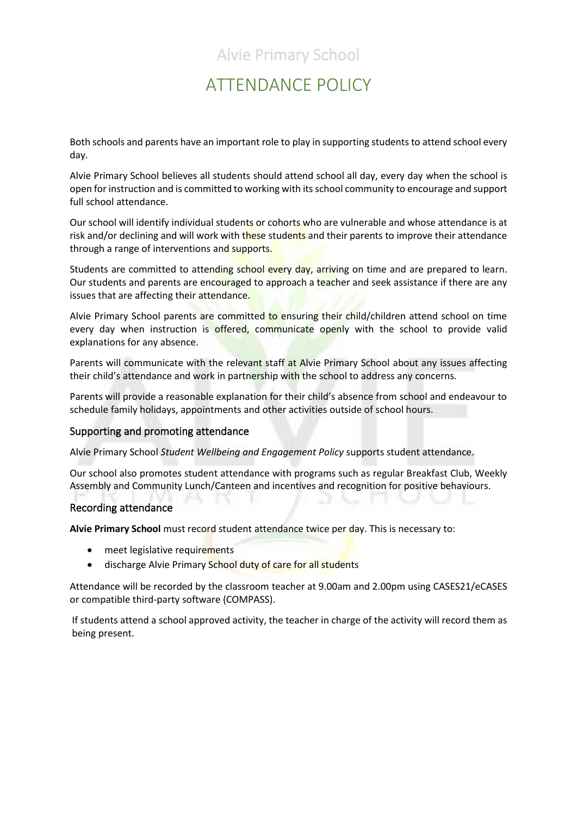## ATTENDANCE POLICY

Both schools and parents have an important role to play in supporting students to attend school every day.

Alvie Primary School believes all students should attend school all day, every day when the school is open for instruction and is committed to working with its school community to encourage and support full school attendance.

Our school will identify individual students or cohorts who are vulnerable and whose attendance is at risk and/or declining and will work with these students and their parents to improve their attendance through a range of interventions and supports.

Students are committed to attending school every day, arriving on time and are prepared to learn. Our students and parents are encouraged to approach a teacher and seek assistance if there are any issues that are affecting their attendance.

Alvie Primary School parents are committed to ensuring their child/children attend school on time every day when instruction is offered, communicate openly with the school to provide valid explanations for any absence.

Parents will communicate with the relevant staff at Alvie Primary School about any issues affecting their child's attendance and work in partnership with the school to address any concerns.

Parents will provide a reasonable explanation for their child's absence from school and endeavour to schedule family holidays, appointments and other activities outside of school hours.

### Supporting and promoting attendance

Alvie Primary School *Student Wellbeing and Engagement Policy* supports student attendance.

Our school also promotes student attendance with programs such as regular Breakfast Club, Weekly Assembly and Community Lunch/Canteen and incentives and recognition for positive behaviours.

#### Recording attendance

**Alvie Primary School** must record student attendance twice per day. This is necessary to:

- meet legislative requirements
- discharge Alvie Primary School duty of care for all students

Attendance will be recorded by the classroom teacher at 9.00am and 2.00pm using CASES21/eCASES or compatible third-party software (COMPASS).

If students attend a school approved activity, the teacher in charge of the activity will record them as being present.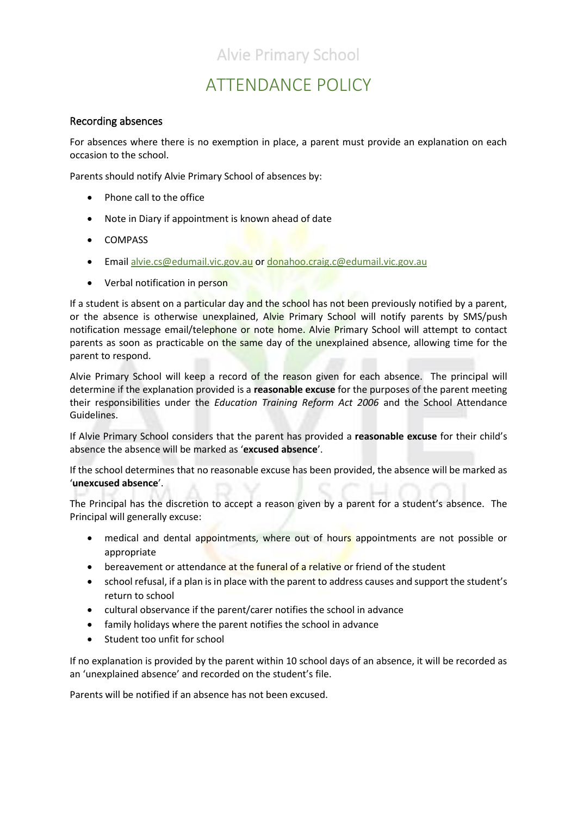# ATTENDANCE POLICY

### Recording absences

For absences where there is no exemption in place, a parent must provide an explanation on each occasion to the school.

Parents should notify Alvie Primary School of absences by:

- Phone call to the office
- Note in Diary if appointment is known ahead of date
- COMPASS
- Email [alvie.cs@edumail.vic.gov.au](mailto:alvie.cs@edumail.vic.gov.au) o[r donahoo.craig.c@edumail.vic.gov.au](mailto:donahoo.craig.c@edumail.vic.gov.au)
- Verbal notification in person

If a student is absent on a particular day and the school has not been previously notified by a parent, or the absence is otherwise unexplained, Alvie Primary School will notify parents by SMS/push notification message email/telephone or note home. Alvie Primary School will attempt to contact parents as soon as practicable on the same day of the unexplained absence, allowing time for the parent to respond.

Alvie Primary School will keep a record of the reason given for each absence. The principal will determine if the explanation provided is a **reasonable excuse** for the purposes of the parent meeting their responsibilities under the *Education Training Reform Act 2006* and the School Attendance Guidelines.

If Alvie Primary School considers that the parent has provided a **reasonable excuse** for their child's absence the absence will be marked as '**excused absence**'.

If the school determines that no reasonable excuse has been provided, the absence will be marked as '**unexcused absence**'.

The Principal has the discretion to accept a reason given by a parent for a student's absence. The Principal will generally excuse:

- medical and dental appointments, where out of hours appointments are not possible or appropriate
- bereavement or attendance at the funeral of a relative or friend of the student
- school refusal, if a plan is in place with the parent to address causes and support the student's return to school
- cultural observance if the parent/carer notifies the school in advance
- family holidays where the parent notifies the school in advance
- Student too unfit for school

If no explanation is provided by the parent within 10 school days of an absence, it will be recorded as an 'unexplained absence' and recorded on the student's file.

Parents will be notified if an absence has not been excused.